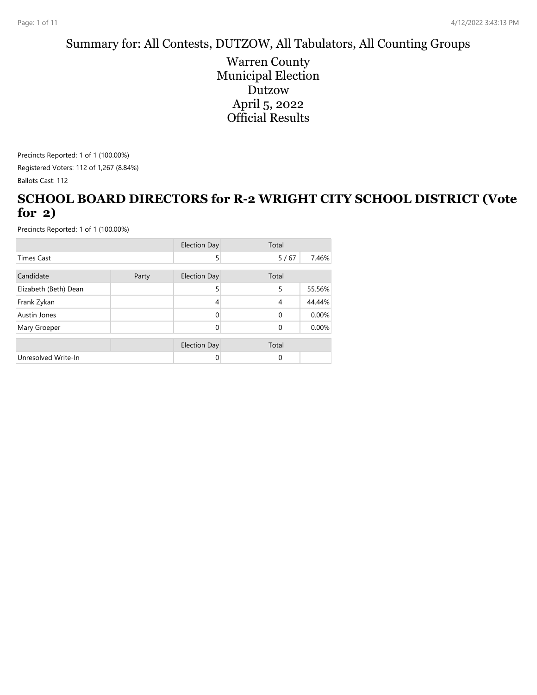#### Summary for: All Contests, DUTZOW, All Tabulators, All Counting Groups

Warren County Municipal Election Dutzow April 5, 2022 Official Results

Precincts Reported: 1 of 1 (100.00%) Registered Voters: 112 of 1,267 (8.84%) Ballots Cast: 112

#### **SCHOOL BOARD DIRECTORS for R-2 WRIGHT CITY SCHOOL DISTRICT (Vote for 2)**

|                       |       | <b>Election Day</b> | Total          |        |
|-----------------------|-------|---------------------|----------------|--------|
| <b>Times Cast</b>     |       | 5                   | 5/67           | 7.46%  |
| Candidate             | Party | <b>Election Day</b> | Total          |        |
| Elizabeth (Beth) Dean |       | 5                   | 5              | 55.56% |
| Frank Zykan           |       | $\overline{4}$      | $\overline{4}$ | 44.44% |
| Austin Jones          |       | $\Omega$            | $\Omega$       | 0.00%  |
| Mary Groeper          |       | 0                   | $\Omega$       | 0.00%  |
|                       |       | <b>Election Day</b> | Total          |        |
| Unresolved Write-In   |       | 0                   | $\Omega$       |        |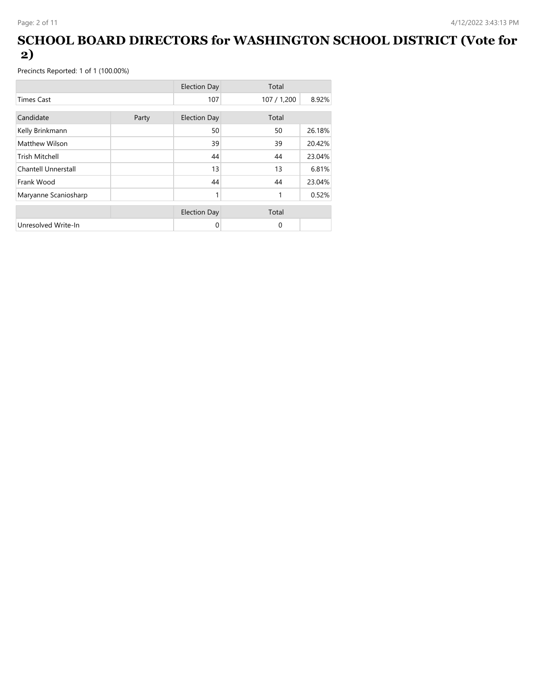### **SCHOOL BOARD DIRECTORS for WASHINGTON SCHOOL DISTRICT (Vote for 2)**

|                      |       | <b>Election Day</b> | Total       |        |
|----------------------|-------|---------------------|-------------|--------|
| <b>Times Cast</b>    |       | 107                 | 107 / 1,200 | 8.92%  |
| Candidate            | Party | <b>Election Day</b> | Total       |        |
| Kelly Brinkmann      |       | 50                  | 50          | 26.18% |
| Matthew Wilson       |       | 39                  | 39          | 20.42% |
| Trish Mitchell       |       | 44                  | 44          | 23.04% |
| Chantell Unnerstall  |       | 13                  | 13          | 6.81%  |
| Frank Wood           |       | 44                  | 44          | 23.04% |
| Maryanne Scaniosharp |       | 1                   | 1           | 0.52%  |
|                      |       | <b>Election Day</b> | Total       |        |
| Unresolved Write-In  |       | 0                   | $\Omega$    |        |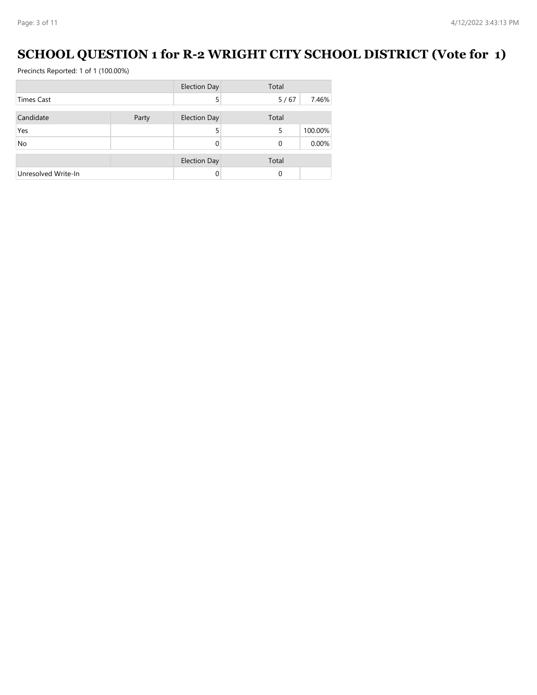# **SCHOOL QUESTION 1 for R-2 WRIGHT CITY SCHOOL DISTRICT (Vote for 1)**

|                     |       | <b>Election Day</b> | Total |         |
|---------------------|-------|---------------------|-------|---------|
| Times Cast          |       | 5                   | 5/67  | 7.46%   |
| Candidate           | Party | <b>Election Day</b> | Total |         |
| Yes                 |       | 5                   | 5     | 100.00% |
| No                  |       |                     | 0     | 0.00%   |
|                     |       | <b>Election Day</b> | Total |         |
| Unresolved Write-In |       |                     | 0     |         |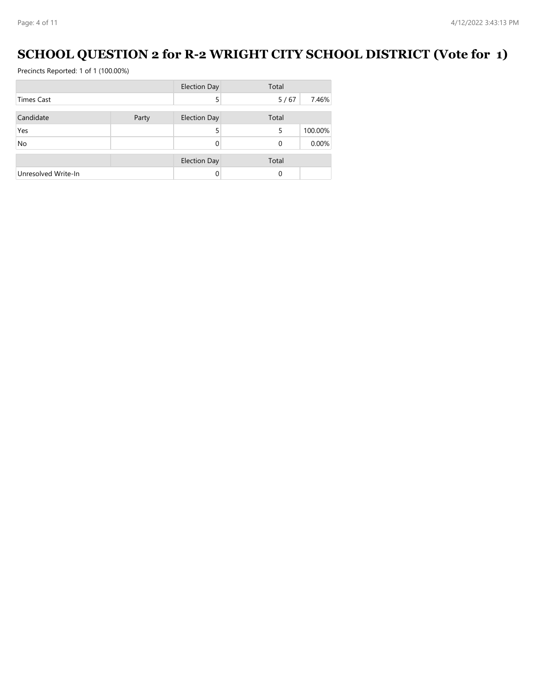# **SCHOOL QUESTION 2 for R-2 WRIGHT CITY SCHOOL DISTRICT (Vote for 1)**

|                     |       | <b>Election Day</b> | Total |         |
|---------------------|-------|---------------------|-------|---------|
| <b>Times Cast</b>   |       | 5                   | 5/67  | 7.46%   |
| Candidate           | Party | <b>Election Day</b> | Total |         |
| Yes                 |       | 5                   | 5     | 100.00% |
| <b>No</b>           |       |                     | 0     | 0.00%   |
|                     |       | <b>Election Day</b> | Total |         |
| Unresolved Write-In |       |                     | 0     |         |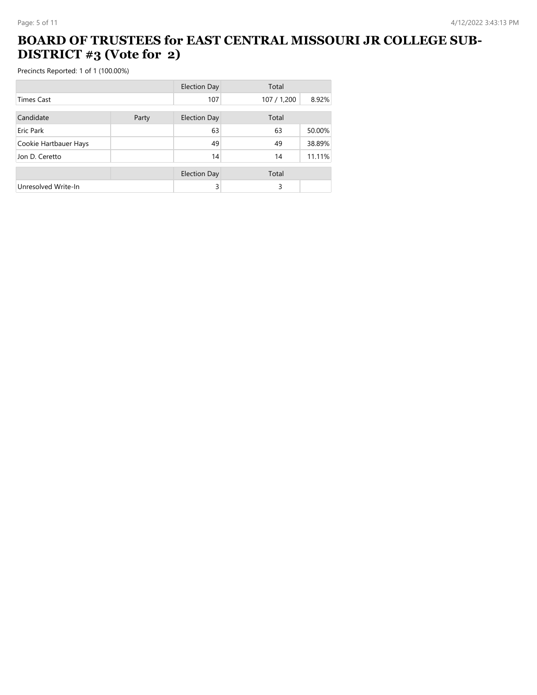### **BOARD OF TRUSTEES for EAST CENTRAL MISSOURI JR COLLEGE SUB-DISTRICT #3 (Vote for 2)**

|                       |       | <b>Election Day</b> | Total       |        |
|-----------------------|-------|---------------------|-------------|--------|
| <b>Times Cast</b>     |       | 107                 | 107 / 1,200 | 8.92%  |
| Candidate             | Party | <b>Election Day</b> | Total       |        |
| Eric Park             |       | 63                  | 63          | 50.00% |
| Cookie Hartbauer Hays |       | 49                  | 49          | 38.89% |
| Jon D. Ceretto        |       | 14                  | 14          | 11.11% |
|                       |       | <b>Election Day</b> | Total       |        |
| Unresolved Write-In   |       | 3                   | 3           |        |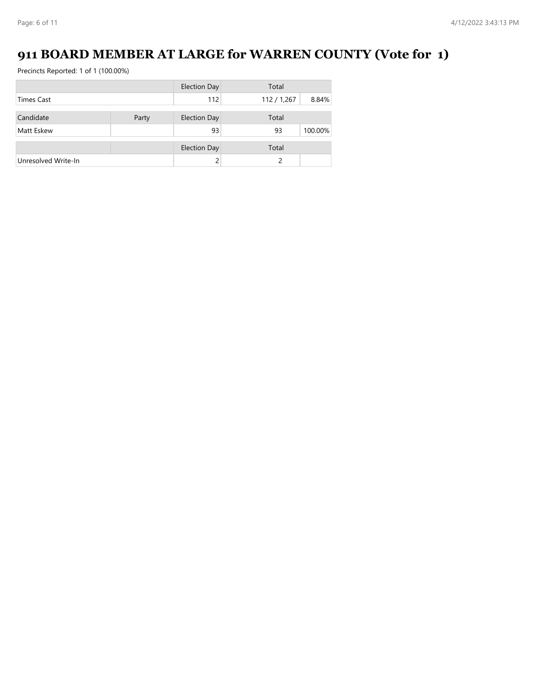# **911 BOARD MEMBER AT LARGE for WARREN COUNTY (Vote for 1)**

|                     |       | <b>Election Day</b> | Total       |         |
|---------------------|-------|---------------------|-------------|---------|
| <b>Times Cast</b>   |       | 112                 | 112 / 1,267 | 8.84%   |
| Candidate           | Party | <b>Election Day</b> | Total       |         |
|                     |       |                     |             |         |
| Matt Eskew          |       | 93                  | 93          | 100.00% |
|                     |       | <b>Election Day</b> | Total       |         |
| Unresolved Write-In |       |                     | ς           |         |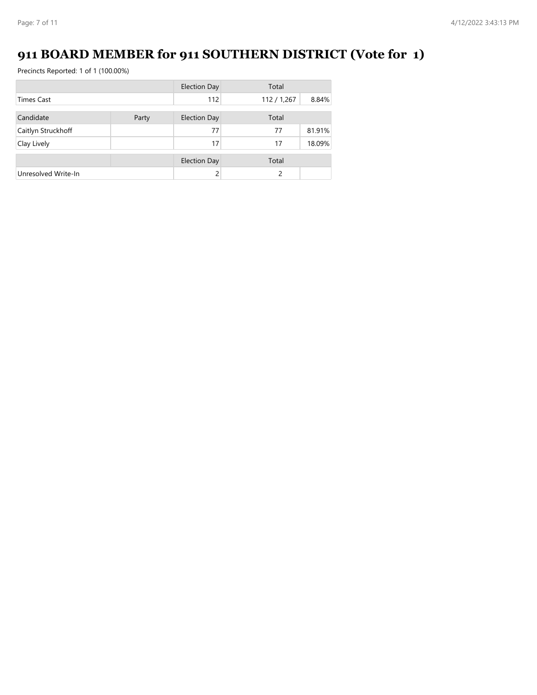# **911 BOARD MEMBER for 911 SOUTHERN DISTRICT (Vote for 1)**

|                     |       | <b>Election Day</b> | Total       |        |
|---------------------|-------|---------------------|-------------|--------|
| <b>Times Cast</b>   |       | 112                 | 112 / 1,267 | 8.84%  |
| Candidate           | Party | <b>Election Day</b> | Total       |        |
|                     |       | 77                  | 77          | 81.91% |
| Caitlyn Struckhoff  |       |                     |             |        |
| Clay Lively         |       | 17                  | 17          | 18.09% |
|                     |       | <b>Election Day</b> | Total       |        |
| Unresolved Write-In |       |                     | 2           |        |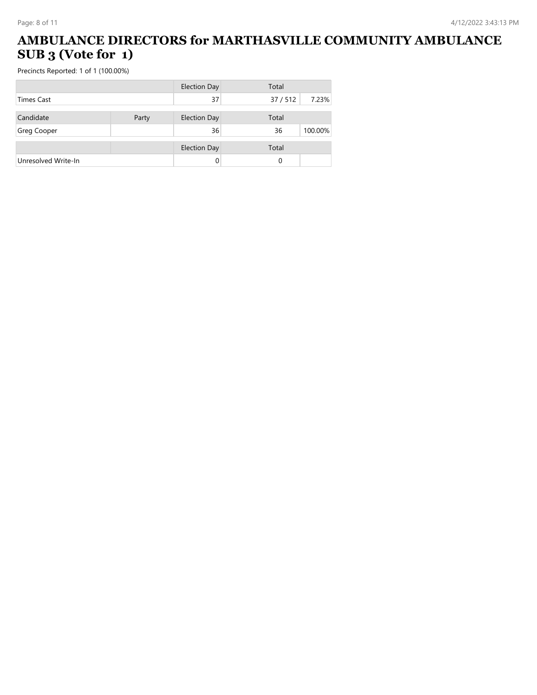## **AMBULANCE DIRECTORS for MARTHASVILLE COMMUNITY AMBULANCE SUB 3 (Vote for 1)**

|                     |       | <b>Election Day</b> | Total  |         |
|---------------------|-------|---------------------|--------|---------|
| Times Cast          |       | 37                  | 37/512 | 7.23%   |
| Candidate           | Party | <b>Election Day</b> | Total  |         |
| Greg Cooper         |       | 36                  | 36     | 100.00% |
|                     |       | <b>Election Day</b> | Total  |         |
| Unresolved Write-In |       |                     | 0      |         |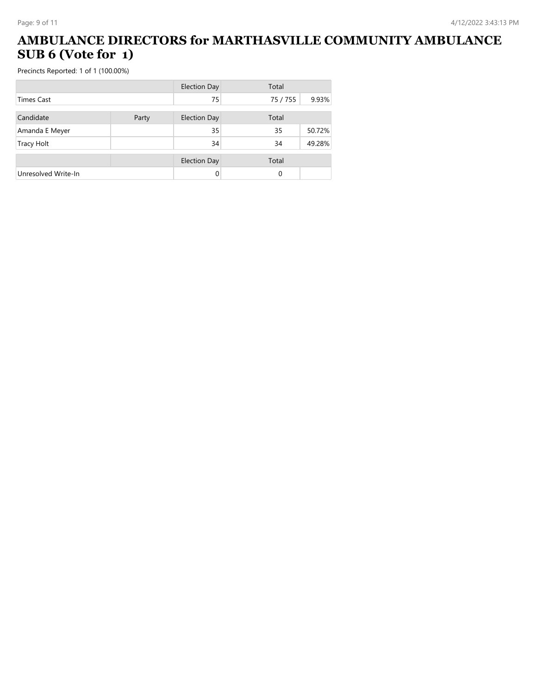### **AMBULANCE DIRECTORS for MARTHASVILLE COMMUNITY AMBULANCE SUB 6 (Vote for 1)**

|                     |       | <b>Election Day</b> | Total    |        |
|---------------------|-------|---------------------|----------|--------|
| <b>Times Cast</b>   |       | 75                  | 75 / 755 | 9.93%  |
| Candidate           | Party | <b>Election Day</b> | Total    |        |
| Amanda E Meyer      |       | 35                  | 35       | 50.72% |
| <b>Tracy Holt</b>   |       | 34                  | 34       | 49.28% |
|                     |       | <b>Election Day</b> | Total    |        |
| Unresolved Write-In |       | 0                   | 0        |        |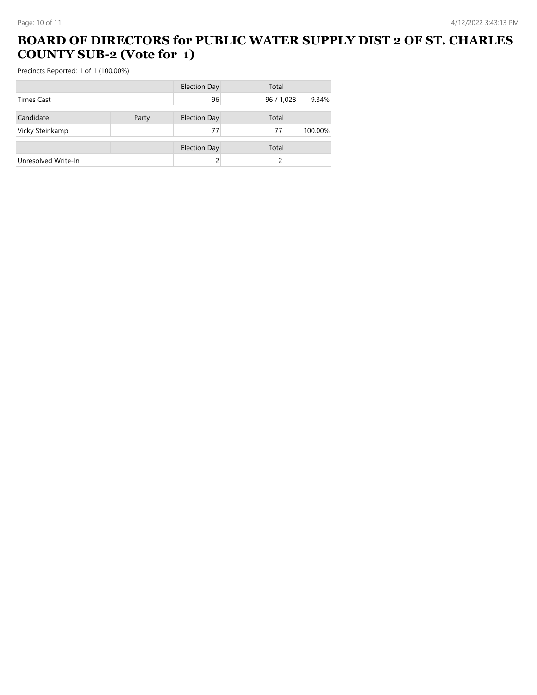#### **BOARD OF DIRECTORS for PUBLIC WATER SUPPLY DIST 2 OF ST. CHARLES COUNTY SUB-2 (Vote for 1)**

|                     |       | <b>Election Day</b> | Total    |         |
|---------------------|-------|---------------------|----------|---------|
| <b>Times Cast</b>   |       | 96                  | 96/1,028 | 9.34%   |
| Candidate           | Party | <b>Election Day</b> | Total    |         |
| Vicky Steinkamp     |       | 77                  | 77       | 100.00% |
|                     |       | <b>Election Day</b> | Total    |         |
| Unresolved Write-In |       |                     | ς        |         |